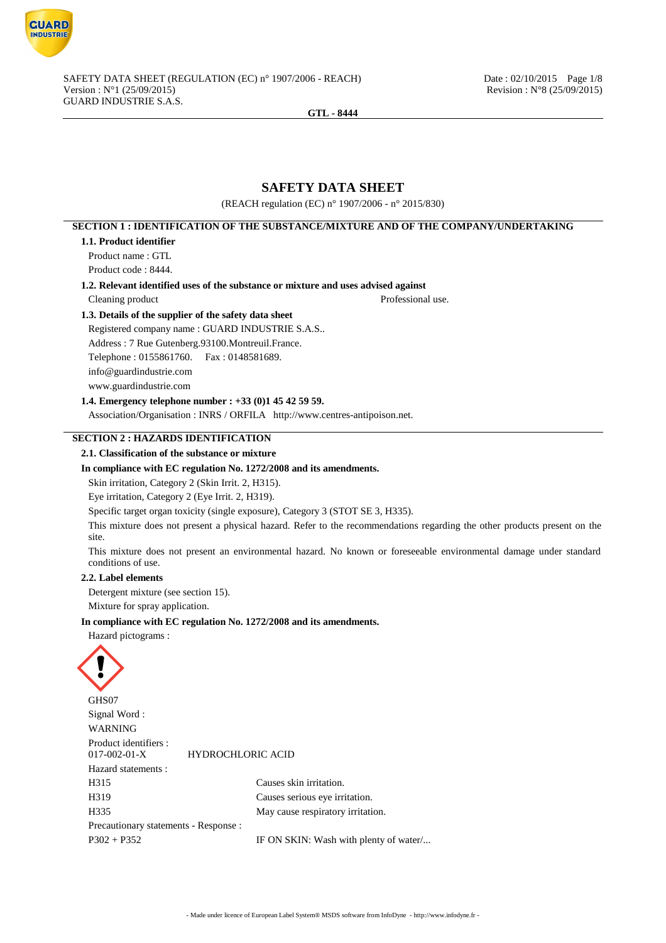

# **SAFETY DATA SHEET**

(REACH regulation (EC) n° 1907/2006 - n° 2015/830)

# **SECTION 1 : IDENTIFICATION OF THE SUBSTANCE/MIXTURE AND OF THE COMPANY/UNDERTAKING 1.1. Product identifier** Product name : GTL Product code : 8444. **1.2. Relevant identified uses of the substance or mixture and uses advised against** Cleaning product Professional use. **1.3. Details of the supplier of the safety data sheet** Registered company name : GUARD INDUSTRIE S.A.S.. Address : 7 Rue Gutenberg.93100.Montreuil.France. Telephone : 0155861760. Fax : 0148581689. info@guardindustrie.com www.guardindustrie.com **1.4. Emergency telephone number : +33 (0)1 45 42 59 59.** Association/Organisation : INRS / ORFILA http://www.centres-antipoison.net. **SECTION 2 : HAZARDS IDENTIFICATION 2.1. Classification of the substance or mixture In compliance with EC regulation No. 1272/2008 and its amendments.** Skin irritation, Category 2 (Skin Irrit. 2, H315). Eye irritation, Category 2 (Eye Irrit. 2, H319). Specific target organ toxicity (single exposure), Category 3 (STOT SE 3, H335). This mixture does not present a physical hazard. Refer to the recommendations regarding the other products present on the site. This mixture does not present an environmental hazard. No known or foreseeable environmental damage under standard conditions of use. **2.2. Label elements** Detergent mixture (see section 15). Mixture for spray application. **In compliance with EC regulation No. 1272/2008 and its amendments.** Hazard pictograms : GHS07 Signal Word : WARNING Product identifiers :<br>017-002-01-X 017-002-01-X HYDROCHLORIC ACID Hazard statements : H315 Causes skin irritation. H319 Causes serious eye irritation. H335 May cause respiratory irritation. Precautionary statements - Response : P302 + P352 IF ON SKIN: Wash with plenty of water...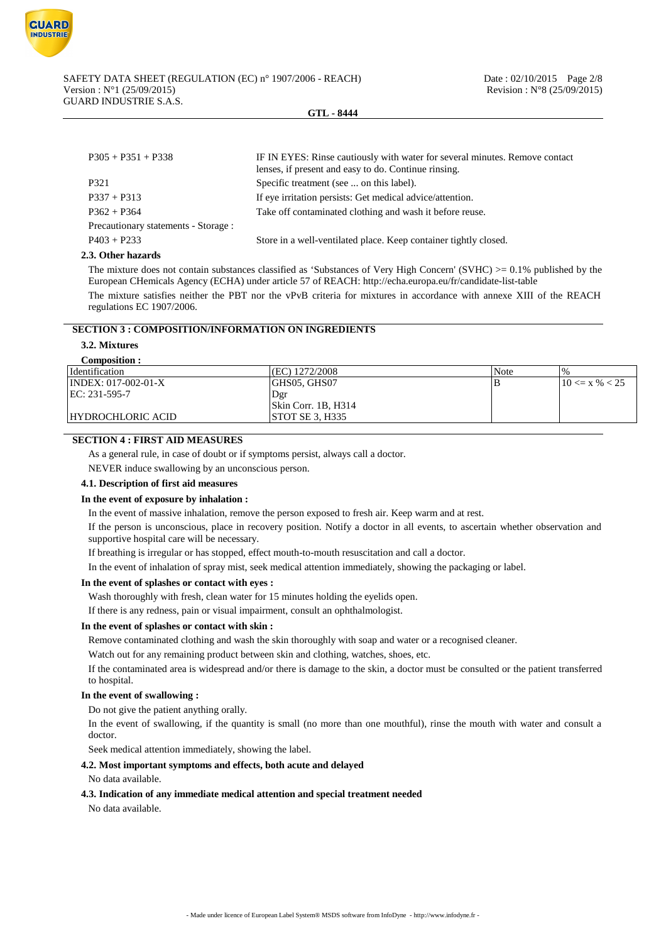

| $P305 + P351 + P338$                 | IF IN EYES: Rinse cautiously with water for several minutes. Remove contact<br>lenses, if present and easy to do. Continue rinsing. |
|--------------------------------------|-------------------------------------------------------------------------------------------------------------------------------------|
| P321                                 | Specific treatment (see  on this label).                                                                                            |
| $P337 + P313$                        | If eye irritation persists: Get medical advice/attention.                                                                           |
| $P362 + P364$                        | Take off contaminated clothing and wash it before reuse.                                                                            |
| Precautionary statements - Storage : |                                                                                                                                     |
| $P403 + P233$                        | Store in a well-ventilated place. Keep container tightly closed.                                                                    |

#### **2.3. Other hazards**

The mixture does not contain substances classified as 'Substances of Very High Concern' (SVHC)  $>0.1\%$  published by the European CHemicals Agency (ECHA) under article 57 of REACH: http://echa.europa.eu/fr/candidate-list-table

The mixture satisfies neither the PBT nor the vPvB criteria for mixtures in accordance with annexe XIII of the REACH regulations EC 1907/2006.

# **SECTION 3 : COMPOSITION/INFORMATION ON INGREDIENTS**

# **3.2. Mixtures**

## **Composition :**

| <i>dentification</i>  | (EC) 1272/2008                       | Note | $\frac{0}{0}$      |
|-----------------------|--------------------------------------|------|--------------------|
| $INDEX: 017-002-01-X$ | GHS05, GHS07                         | в    | $10 \le x \% < 25$ |
| $ EC: 231-595-7$      | . Der                                |      |                    |
|                       | $\left  \right $ Skin Corr. 1B, H314 |      |                    |
| HYDROCHLORIC ACID     | STOT SE 3, H335                      |      |                    |

# **SECTION 4 : FIRST AID MEASURES**

As a general rule, in case of doubt or if symptoms persist, always call a doctor.

NEVER induce swallowing by an unconscious person.

## **4.1. Description of first aid measures**

#### **In the event of exposure by inhalation :**

In the event of massive inhalation, remove the person exposed to fresh air. Keep warm and at rest.

If the person is unconscious, place in recovery position. Notify a doctor in all events, to ascertain whether observation and supportive hospital care will be necessary.

If breathing is irregular or has stopped, effect mouth-to-mouth resuscitation and call a doctor.

In the event of inhalation of spray mist, seek medical attention immediately, showing the packaging or label.

#### **In the event of splashes or contact with eyes :**

Wash thoroughly with fresh, clean water for 15 minutes holding the eyelids open.

If there is any redness, pain or visual impairment, consult an ophthalmologist.

# **In the event of splashes or contact with skin :**

Remove contaminated clothing and wash the skin thoroughly with soap and water or a recognised cleaner.

Watch out for any remaining product between skin and clothing, watches, shoes, etc.

If the contaminated area is widespread and/or there is damage to the skin, a doctor must be consulted or the patient transferred to hospital.

## **In the event of swallowing :**

Do not give the patient anything orally.

In the event of swallowing, if the quantity is small (no more than one mouthful), rinse the mouth with water and consult a doctor.

Seek medical attention immediately, showing the label.

## **4.2. Most important symptoms and effects, both acute and delayed**

#### No data available.

#### **4.3. Indication of any immediate medical attention and special treatment needed**

No data available.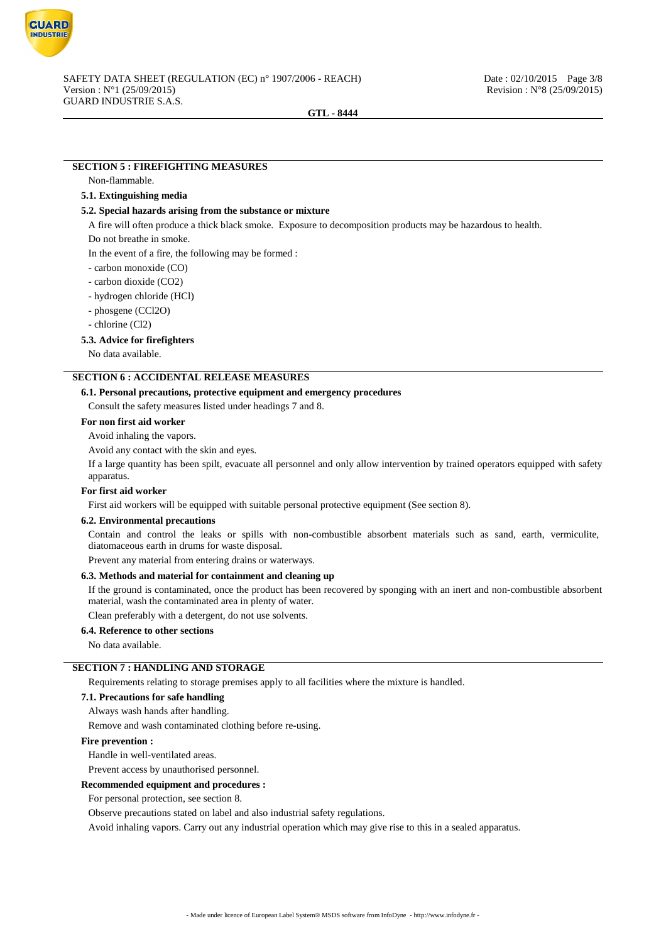

# **SECTION 5 : FIREFIGHTING MEASURES**

#### Non-flammable.

## **5.1. Extinguishing media**

#### **5.2. Special hazards arising from the substance or mixture**

A fire will often produce a thick black smoke. Exposure to decomposition products may be hazardous to health.

Do not breathe in smoke.

In the event of a fire, the following may be formed :

- carbon monoxide (CO)
- carbon dioxide (CO2)
- hydrogen chloride (HCl)
- phosgene (CCl2O)
- chlorine (Cl2)

#### **5.3. Advice for firefighters**

No data available.

## **SECTION 6 : ACCIDENTAL RELEASE MEASURES**

#### **6.1. Personal precautions, protective equipment and emergency procedures**

Consult the safety measures listed under headings 7 and 8.

#### **For non first aid worker**

Avoid inhaling the vapors.

Avoid any contact with the skin and eyes.

If a large quantity has been spilt, evacuate all personnel and only allow intervention by trained operators equipped with safety apparatus.

## **For first aid worker**

First aid workers will be equipped with suitable personal protective equipment (See section 8).

#### **6.2. Environmental precautions**

Contain and control the leaks or spills with non-combustible absorbent materials such as sand, earth, vermiculite, diatomaceous earth in drums for waste disposal.

Prevent any material from entering drains or waterways.

#### **6.3. Methods and material for containment and cleaning up**

If the ground is contaminated, once the product has been recovered by sponging with an inert and non-combustible absorbent material, wash the contaminated area in plenty of water.

Clean preferably with a detergent, do not use solvents.

## **6.4. Reference to other sections**

No data available.

# **SECTION 7 : HANDLING AND STORAGE**

Requirements relating to storage premises apply to all facilities where the mixture is handled.

#### **7.1. Precautions for safe handling**

Always wash hands after handling.

Remove and wash contaminated clothing before re-using.

#### **Fire prevention :**

Handle in well-ventilated areas.

Prevent access by unauthorised personnel.

#### **Recommended equipment and procedures :**

For personal protection, see section 8.

Observe precautions stated on label and also industrial safety regulations.

Avoid inhaling vapors. Carry out any industrial operation which may give rise to this in a sealed apparatus.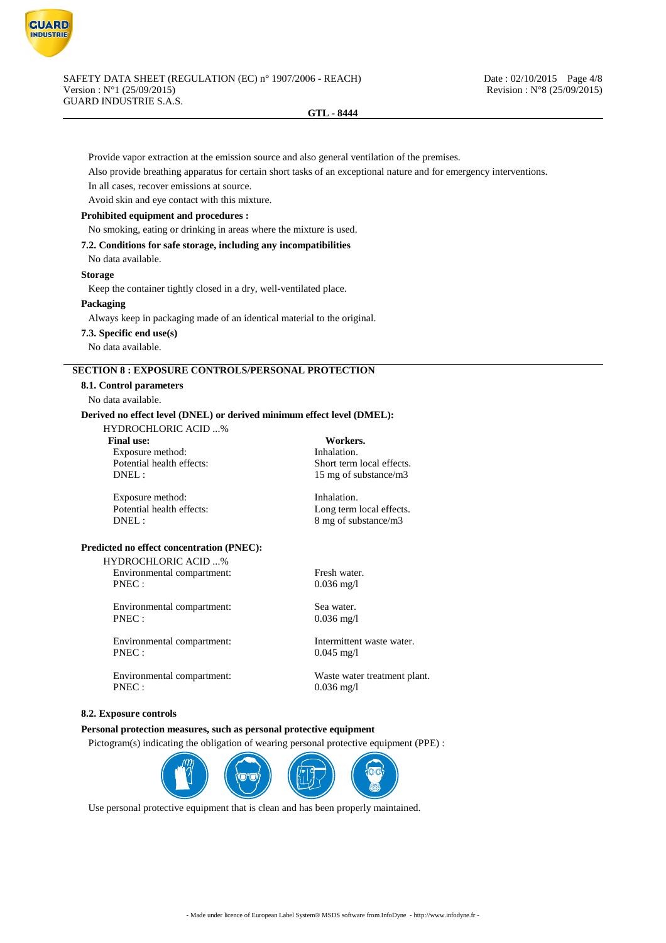

Provide vapor extraction at the emission source and also general ventilation of the premises.

Also provide breathing apparatus for certain short tasks of an exceptional nature and for emergency interventions.

In all cases, recover emissions at source.

Avoid skin and eye contact with this mixture.

## **Prohibited equipment and procedures :**

No smoking, eating or drinking in areas where the mixture is used.

#### **7.2. Conditions for safe storage, including any incompatibilities**

No data available.

## **Storage**

Keep the container tightly closed in a dry, well-ventilated place.

**Packaging**

Always keep in packaging made of an identical material to the original.

**7.3. Specific end use(s)**

#### No data available.

# **SECTION 8 : EXPOSURE CONTROLS/PERSONAL PROTECTION**

**8.1. Control parameters**

No data available.

## **Derived no effect level (DNEL) or derived minimum effect level (DMEL):**

HYDROCHLORIC ACID ...%

**Final use: Workers.** Exposure method: Inhalation.

Exposure method: Inhalation.<br>
Potential health effects: Long term Inhalation.

Potential health effects:<br>
DNEL:<br>  $15 \text{ mo of substance/m}^3$ 15 mg of substance/m3

Long term local effects. DNEL : 8 mg of substance/m3

## **Predicted no effect concentration (PNEC):**

HYDROCHLORIC ACID ...% Environmental compartment: Fresh water.

PNEC : 0.036 mg/l Environmental compartment: Sea water.

PNEC : 0.036 mg/l

Environmental compartment: Intermittent waste water. PNEC : 0.045 mg/l

Environmental compartment: Waste water treatment plant. PNEC : 0.036 mg/l

#### **8.2. Exposure controls**

## **Personal protection measures, such as personal protective equipment**

Pictogram(s) indicating the obligation of wearing personal protective equipment (PPE) :



Use personal protective equipment that is clean and has been properly maintained.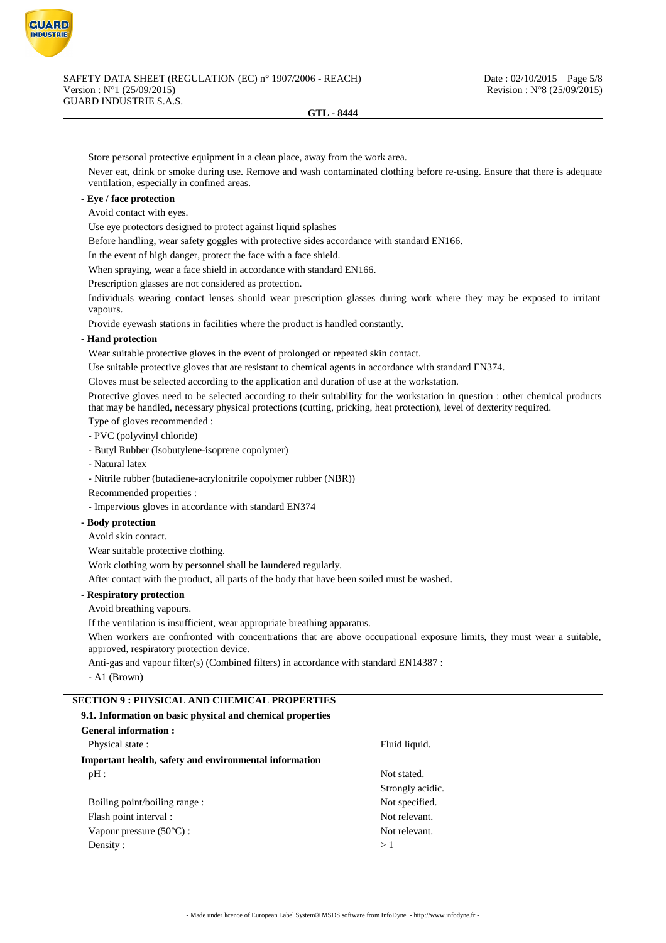

Store personal protective equipment in a clean place, away from the work area.

Never eat, drink or smoke during use. Remove and wash contaminated clothing before re-using. Ensure that there is adequate ventilation, especially in confined areas.

# **- Eye / face protection**

Avoid contact with eyes.

Use eye protectors designed to protect against liquid splashes

Before handling, wear safety goggles with protective sides accordance with standard EN166.

In the event of high danger, protect the face with a face shield.

When spraying, wear a face shield in accordance with standard EN166.

Prescription glasses are not considered as protection.

Individuals wearing contact lenses should wear prescription glasses during work where they may be exposed to irritant vapours.

Provide eyewash stations in facilities where the product is handled constantly.

## **- Hand protection**

Wear suitable protective gloves in the event of prolonged or repeated skin contact.

Use suitable protective gloves that are resistant to chemical agents in accordance with standard EN374.

Gloves must be selected according to the application and duration of use at the workstation.

Protective gloves need to be selected according to their suitability for the workstation in question : other chemical products that may be handled, necessary physical protections (cutting, pricking, heat protection), level of dexterity required.

Type of gloves recommended :

- PVC (polyvinyl chloride)
- Butyl Rubber (Isobutylene-isoprene copolymer)
- Natural latex
- Nitrile rubber (butadiene-acrylonitrile copolymer rubber (NBR))
- Recommended properties :

- Impervious gloves in accordance with standard EN374

**- Body protection**

Avoid skin contact.

Wear suitable protective clothing.

Work clothing worn by personnel shall be laundered regularly.

After contact with the product, all parts of the body that have been soiled must be washed.

## **- Respiratory protection**

Avoid breathing vapours.

If the ventilation is insufficient, wear appropriate breathing apparatus.

When workers are confronted with concentrations that are above occupational exposure limits, they must wear a suitable, approved, respiratory protection device.

Anti-gas and vapour filter(s) (Combined filters) in accordance with standard EN14387 :

- A1 (Brown)

## **SECTION 9 : PHYSICAL AND CHEMICAL PROPERTIES**

| 9.1. Information on basic physical and chemical properties |                  |
|------------------------------------------------------------|------------------|
| General information:                                       |                  |
| Physical state:                                            | Fluid liquid.    |
| Important health, safety and environmental information     |                  |
| pH:                                                        | Not stated.      |
|                                                            | Strongly acidic. |
| Boiling point/boiling range:                               | Not specified.   |
| Flash point interval :                                     | Not relevant.    |
| Vapour pressure $(50^{\circ}C)$ :                          | Not relevant.    |
| Density:                                                   | >1               |
|                                                            |                  |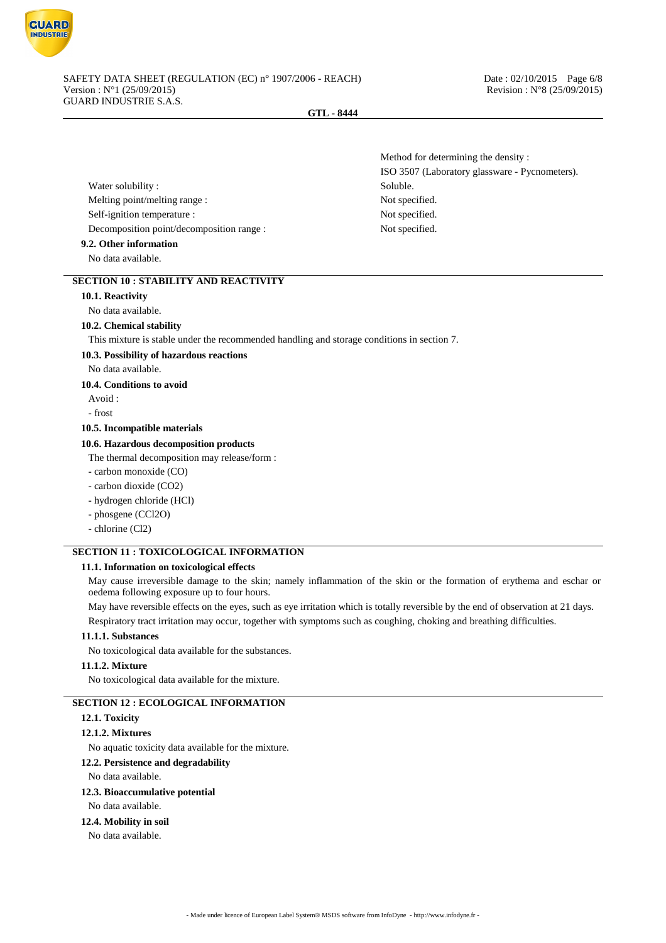

Method for determining the density :

ISO 3507 (Laboratory glassware - Pycnometers).

## **GTL - 8444**

Water solubility : Soluble. Melting point/melting range : Not specified. Self-ignition temperature : Not specified. Decomposition point/decomposition range : Not specified.

**9.2. Other information**

No data available.

# **SECTION 10 : STABILITY AND REACTIVITY**

## **10.1. Reactivity**

No data available.

### **10.2. Chemical stability**

This mixture is stable under the recommended handling and storage conditions in section 7.

## **10.3. Possibility of hazardous reactions**

No data available.

## **10.4. Conditions to avoid**

Avoid :

- frost

#### **10.5. Incompatible materials**

## **10.6. Hazardous decomposition products**

The thermal decomposition may release/form :

- carbon monoxide (CO)
- carbon dioxide (CO2)
- hydrogen chloride (HCl)
- phosgene (CCl2O)
- chlorine (Cl2)

# **SECTION 11 : TOXICOLOGICAL INFORMATION**

# **11.1. Information on toxicological effects**

May cause irreversible damage to the skin; namely inflammation of the skin or the formation of erythema and eschar or oedema following exposure up to four hours.

May have reversible effects on the eyes, such as eye irritation which is totally reversible by the end of observation at 21 days. Respiratory tract irritation may occur, together with symptoms such as coughing, choking and breathing difficulties.

## **11.1.1. Substances**

No toxicological data available for the substances.

## **11.1.2. Mixture**

No toxicological data available for the mixture.

# **SECTION 12 : ECOLOGICAL INFORMATION**

# **12.1. Toxicity**

## **12.1.2. Mixtures**

No aquatic toxicity data available for the mixture.

#### **12.2. Persistence and degradability**

No data available.

## **12.3. Bioaccumulative potential**

No data available.

# **12.4. Mobility in soil**

No data available.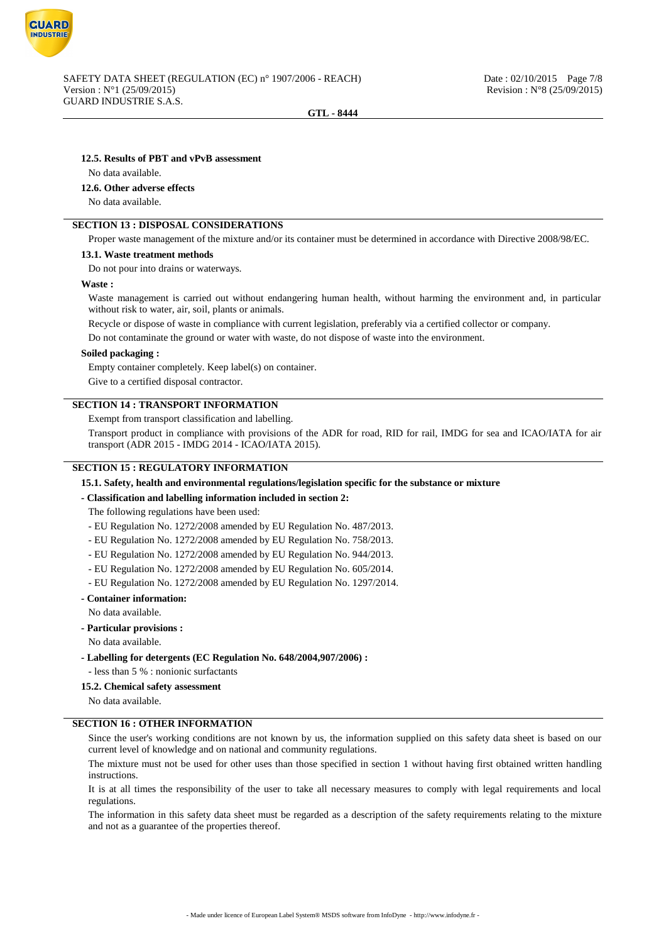

#### **12.5. Results of PBT and vPvB assessment**

#### No data available.

#### **12.6. Other adverse effects**

No data available.

# **SECTION 13 : DISPOSAL CONSIDERATIONS**

Proper waste management of the mixture and/or its container must be determined in accordance with Directive 2008/98/EC.

#### **13.1. Waste treatment methods**

Do not pour into drains or waterways.

#### **Waste :**

Waste management is carried out without endangering human health, without harming the environment and, in particular without risk to water, air, soil, plants or animals.

Recycle or dispose of waste in compliance with current legislation, preferably via a certified collector or company.

Do not contaminate the ground or water with waste, do not dispose of waste into the environment.

#### **Soiled packaging :**

Empty container completely. Keep label(s) on container.

Give to a certified disposal contractor.

## **SECTION 14 : TRANSPORT INFORMATION**

Exempt from transport classification and labelling.

Transport product in compliance with provisions of the ADR for road, RID for rail, IMDG for sea and ICAO/IATA for air transport (ADR 2015 - IMDG 2014 - ICAO/IATA 2015).

## **SECTION 15 : REGULATORY INFORMATION**

## **15.1. Safety, health and environmental regulations/legislation specific for the substance or mixture**

## **- Classification and labelling information included in section 2:**

The following regulations have been used:

- EU Regulation No. 1272/2008 amended by EU Regulation No. 487/2013.
- EU Regulation No. 1272/2008 amended by EU Regulation No. 758/2013.
- EU Regulation No. 1272/2008 amended by EU Regulation No. 944/2013.
- EU Regulation No. 1272/2008 amended by EU Regulation No. 605/2014.
- EU Regulation No. 1272/2008 amended by EU Regulation No. 1297/2014.

## **- Container information:**

No data available.

- **Particular provisions :**
- No data available.
- **Labelling for detergents (EC Regulation No. 648/2004,907/2006) :**

- less than 5 % : nonionic surfactants

**15.2. Chemical safety assessment**

No data available.

## **SECTION 16 : OTHER INFORMATION**

Since the user's working conditions are not known by us, the information supplied on this safety data sheet is based on our current level of knowledge and on national and community regulations.

The mixture must not be used for other uses than those specified in section 1 without having first obtained written handling instructions.

It is at all times the responsibility of the user to take all necessary measures to comply with legal requirements and local regulations.

The information in this safety data sheet must be regarded as a description of the safety requirements relating to the mixture and not as a guarantee of the properties thereof.